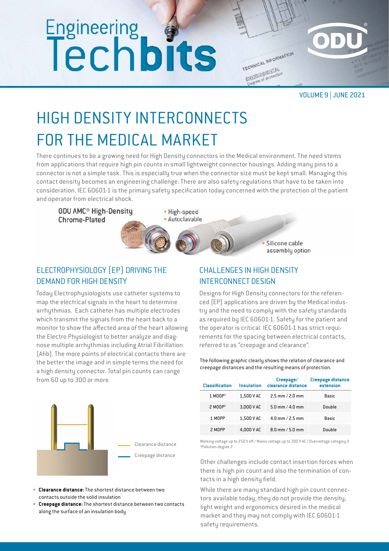# Engineering<br>Techbits

TECHNICAL INFORMATION ENVIRONMENTAL Degree of protection

VOLUME 9 | JUNE 2021

# HIGH DENSITY INTERCONNECTS FOR THE MEDICAL MARKET

There continues to be a growing need for High Density connectors in the Medical environment. The need stems from applications that require high pin counts in small lightweight connector housings. Adding many pins to a connector is not a simple task. This is especially true when the connector size must be kept small. Managing this contact density becomes an engineering challenge. There are also safety regulations that have to be taken into consideration. IEC 60601-1 is the primary safety specification today concerned with the protection of the patient and operator from electrical shock.

**ODU AMC<sup>®</sup> High-Density** Chrome-Plated

• High-speed · Autoclavable

> Silicone cable assembly option

# ELECTROPHYSIOLOGY (EP) DRIVING THE DEMAND FOR HIGH DENSITY

Today Electrophysiologists use catheter systems to map the electrical signals in the heart to determine arrhythmias. Each catheter has multiple electrodes which transmit the signals from the heart back to a monitor to show the affected area of the heart allowing the Electro Physiologist to better analyze and diagnose multiple arrhythmias including Atrial Fibrillation (Afib). The more points of electrical contacts there are the better the image and in simple terms the need for a high density connector. Total pin counts can range from 60 up to 300 or more.



- **• Clearance distance:** The shortest distance between two contacts outside the solid insulation
- **• Creepage distance:**The shortest distance between two contacts along the surface of an insulation body

## CHALLENGES IN HIGH DENSITY INTERCONNECT DESIGN

Designs for High Density connectors for the referenced (EP) applications are driven by the Medical industry and the need to comply with the safety standards as required by IEC 60601-1. Safety for the patient and the operator is critical. IEC 60601-1 has strict requirements for the spacing between electrical contacts, referred to as "creepage and clearance".

The following graphic clearly shows the relation of clearance and creepage distances and the resulting means of protection.

| <b>Classification</b> | <b>Insulation</b> | Creepage/<br>clearance distance | <b>Creepage distance</b><br>extension |
|-----------------------|-------------------|---------------------------------|---------------------------------------|
| $1$ MOOP <sup>1</sup> | 1,500 V AC        | $2.5$ mm $/ 2.0$ mm             | Basic                                 |
| $2$ MOOP <sup>1</sup> | 3,000 V AC        | $5.0$ mm $/4.0$ mm              | Double                                |
| 1 MOPP                | 1,500 V AC        | $4.0$ mm $/ 2.5$ mm             | Basic                                 |
| 2 MOPP                | 4.000 V AC        | $8.0$ mm $/5.0$ mm              | Double                                |

Working voltage up to 250 V eff / Mains voltage up to 300 V AC / Overvoltage category II 1 Pollution degree 2

Other challenges include contact insertion forces when there is high pin count and also the termination of contacts in a high density field.

While there are many standard high pin count connectors available today, they do not provide the density, light weight and ergonomics desired in the medical market and they may not comply with IEC 60601-1 safety requirements.